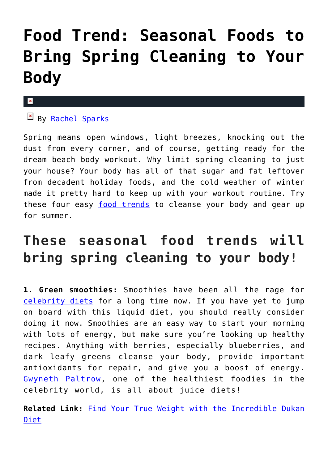## **[Food Trend: Seasonal Foods to](https://cupidspulse.com/122073/food-trend-seasonal-foods-spring-cleaning-body/) [Bring Spring Cleaning to Your](https://cupidspulse.com/122073/food-trend-seasonal-foods-spring-cleaning-body/) [Body](https://cupidspulse.com/122073/food-trend-seasonal-foods-spring-cleaning-body/)**

## $\mathbf{x}$

By [Rachel Sparks](http://cupidspulse.com/121112/rachel-sparks/)

Spring means open windows, light breezes, knocking out the dust from every corner, and of course, getting ready for the dream beach body workout. Why limit spring cleaning to just your house? Your body has all of that sugar and fat leftover from decadent holiday foods, and the cold weather of winter made it pretty hard to keep up with your workout routine. Try these four easy [food trends](http://cupidspulse.com/food/) to cleanse your body and gear up for summer.

## **These seasonal food trends will bring spring cleaning to your body!**

**1. Green smoothies:** Smoothies have been all the rage for [celebrity diets](http://cupidspulse.com/fitness/) for a long time now. If you have yet to jump on board with this liquid diet, you should really consider doing it now. Smoothies are an easy way to start your morning with lots of energy, but make sure you're looking up healthy recipes. Anything with berries, especially blueberries, and dark leafy greens cleanse your body, provide important antioxidants for repair, and give you a boost of energy. [Gwyneth Paltrow,](http://cupidspulse.com/86071/gwyneth-paltrow/) one of the healthiest foodies in the celebrity world, is all about juice diets!

**Related Link:** [Find Your True Weight with the Incredible Dukan](http://cupidspulse.com/55739/dukan-diet-true-weight-product-review/) [Diet](http://cupidspulse.com/55739/dukan-diet-true-weight-product-review/)